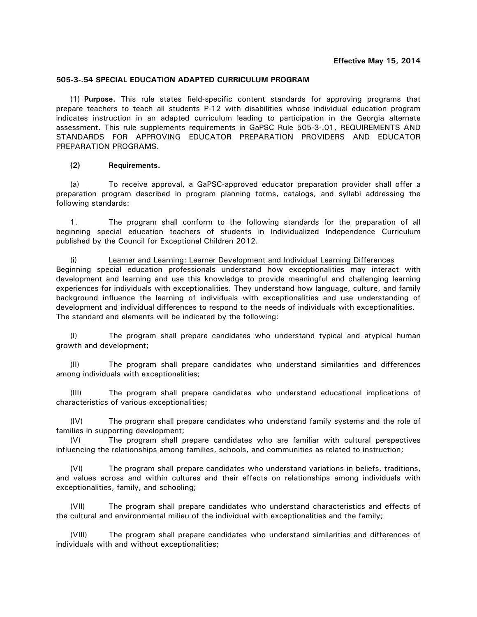## **505-3-.54 SPECIAL EDUCATION ADAPTED CURRICULUM PROGRAM**

(1) **Purpose.** This rule states field-specific content standards for approving programs that prepare teachers to teach all students P-12 with disabilities whose individual education program indicates instruction in an adapted curriculum leading to participation in the Georgia alternate assessment. This rule supplements requirements in GaPSC Rule 505-3-.01, REQUIREMENTS AND STANDARDS FOR APPROVING EDUCATOR PREPARATION PROVIDERS AND EDUCATOR PREPARATION PROGRAMS.

# **(2) Requirements.**

(a) To receive approval, a GaPSC-approved educator preparation provider shall offer a preparation program described in program planning forms, catalogs, and syllabi addressing the following standards:

1. The program shall conform to the following standards for the preparation of all beginning special education teachers of students in Individualized Independence Curriculum published by the Council for Exceptional Children 2012.

(i) Learner and Learning: Learner Development and Individual Learning Differences Beginning special education professionals understand how exceptionalities may interact with development and learning and use this knowledge to provide meaningful and challenging learning experiences for individuals with exceptionalities. They understand how language, culture, and family background influence the learning of individuals with exceptionalities and use understanding of development and individual differences to respond to the needs of individuals with exceptionalities. The standard and elements will be indicated by the following:

(I) The program shall prepare candidates who understand typical and atypical human growth and development;

(II) The program shall prepare candidates who understand similarities and differences among individuals with exceptionalities;

(III) The program shall prepare candidates who understand educational implications of characteristics of various exceptionalities;

(IV) The program shall prepare candidates who understand family systems and the role of families in supporting development;

(V) The program shall prepare candidates who are familiar with cultural perspectives influencing the relationships among families, schools, and communities as related to instruction;

(VI) The program shall prepare candidates who understand variations in beliefs, traditions, and values across and within cultures and their effects on relationships among individuals with exceptionalities, family, and schooling;

(VII) The program shall prepare candidates who understand characteristics and effects of the cultural and environmental milieu of the individual with exceptionalities and the family;

(VIII) The program shall prepare candidates who understand similarities and differences of individuals with and without exceptionalities;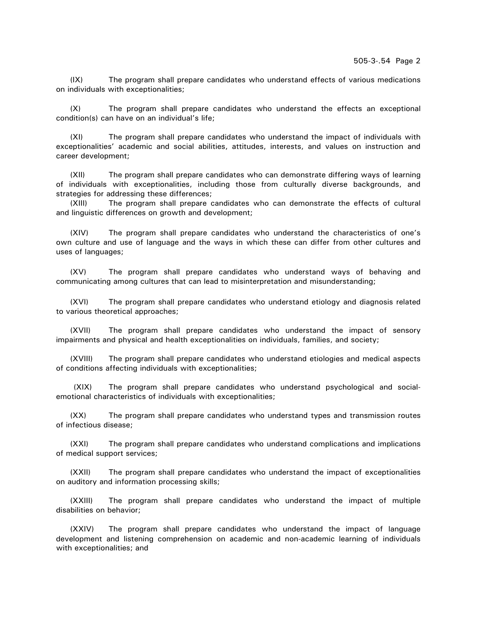(IX) The program shall prepare candidates who understand effects of various medications on individuals with exceptionalities;

(X) The program shall prepare candidates who understand the effects an exceptional condition(s) can have on an individual's life;

(XI) The program shall prepare candidates who understand the impact of individuals with exceptionalities' academic and social abilities, attitudes, interests, and values on instruction and career development;

(XII) The program shall prepare candidates who can demonstrate differing ways of learning of individuals with exceptionalities, including those from culturally diverse backgrounds, and strategies for addressing these differences;

(XIII) The program shall prepare candidates who can demonstrate the effects of cultural and linguistic differences on growth and development;

(XIV) The program shall prepare candidates who understand the characteristics of one's own culture and use of language and the ways in which these can differ from other cultures and uses of languages;

(XV) The program shall prepare candidates who understand ways of behaving and communicating among cultures that can lead to misinterpretation and misunderstanding;

(XVI) The program shall prepare candidates who understand etiology and diagnosis related to various theoretical approaches;

(XVII) The program shall prepare candidates who understand the impact of sensory impairments and physical and health exceptionalities on individuals, families, and society;

(XVIII) The program shall prepare candidates who understand etiologies and medical aspects of conditions affecting individuals with exceptionalities;

(XIX) The program shall prepare candidates who understand psychological and socialemotional characteristics of individuals with exceptionalities;

(XX) The program shall prepare candidates who understand types and transmission routes of infectious disease;

(XXI) The program shall prepare candidates who understand complications and implications of medical support services;

(XXII) The program shall prepare candidates who understand the impact of exceptionalities on auditory and information processing skills;

(XXIII) The program shall prepare candidates who understand the impact of multiple disabilities on behavior;

(XXIV) The program shall prepare candidates who understand the impact of language development and listening comprehension on academic and non-academic learning of individuals with exceptionalities; and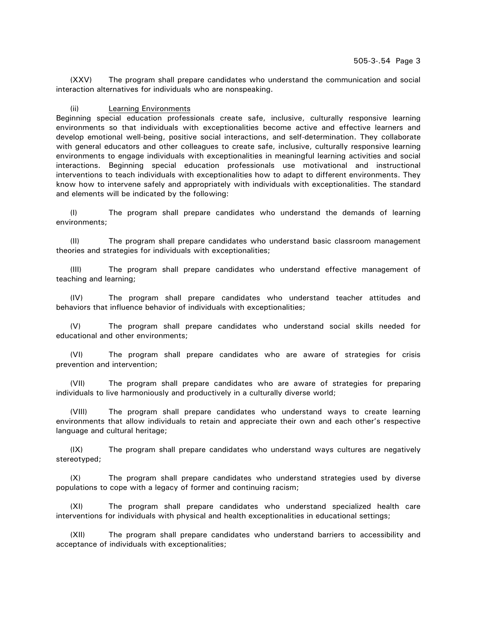(XXV) The program shall prepare candidates who understand the communication and social interaction alternatives for individuals who are nonspeaking.

### (ii) Learning Environments

Beginning special education professionals create safe, inclusive, culturally responsive learning environments so that individuals with exceptionalities become active and effective learners and develop emotional well-being, positive social interactions, and self-determination. They collaborate with general educators and other colleagues to create safe, inclusive, culturally responsive learning environments to engage individuals with exceptionalities in meaningful learning activities and social interactions. Beginning special education professionals use motivational and instructional interventions to teach individuals with exceptionalities how to adapt to different environments. They know how to intervene safely and appropriately with individuals with exceptionalities. The standard and elements will be indicated by the following:

(I) The program shall prepare candidates who understand the demands of learning environments;

(II) The program shall prepare candidates who understand basic classroom management theories and strategies for individuals with exceptionalities;

(III) The program shall prepare candidates who understand effective management of teaching and learning;

(IV) The program shall prepare candidates who understand teacher attitudes and behaviors that influence behavior of individuals with exceptionalities;

(V) The program shall prepare candidates who understand social skills needed for educational and other environments;

(VI) The program shall prepare candidates who are aware of strategies for crisis prevention and intervention;

(VII) The program shall prepare candidates who are aware of strategies for preparing individuals to live harmoniously and productively in a culturally diverse world;

(VIII) The program shall prepare candidates who understand ways to create learning environments that allow individuals to retain and appreciate their own and each other's respective language and cultural heritage;

(IX) The program shall prepare candidates who understand ways cultures are negatively stereotyped;

(X) The program shall prepare candidates who understand strategies used by diverse populations to cope with a legacy of former and continuing racism;

(XI) The program shall prepare candidates who understand specialized health care interventions for individuals with physical and health exceptionalities in educational settings;

(XII) The program shall prepare candidates who understand barriers to accessibility and acceptance of individuals with exceptionalities;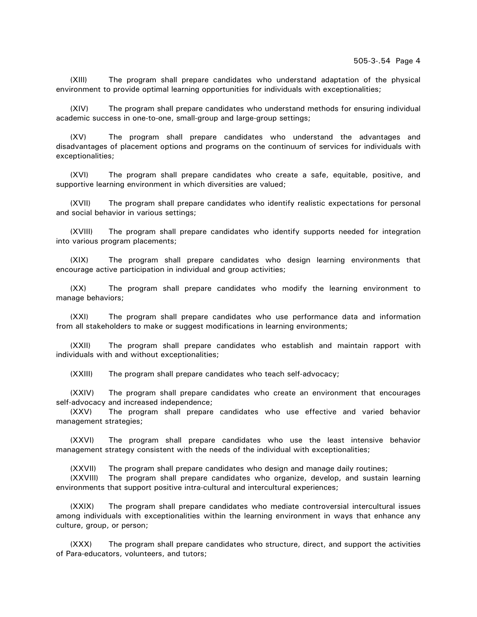(XIII) The program shall prepare candidates who understand adaptation of the physical environment to provide optimal learning opportunities for individuals with exceptionalities;

(XIV) The program shall prepare candidates who understand methods for ensuring individual academic success in one-to-one, small-group and large-group settings;

(XV) The program shall prepare candidates who understand the advantages and disadvantages of placement options and programs on the continuum of services for individuals with exceptionalities;

(XVI) The program shall prepare candidates who create a safe, equitable, positive, and supportive learning environment in which diversities are valued;

(XVII) The program shall prepare candidates who identify realistic expectations for personal and social behavior in various settings;

(XVIII) The program shall prepare candidates who identify supports needed for integration into various program placements;

(XIX) The program shall prepare candidates who design learning environments that encourage active participation in individual and group activities;

(XX) The program shall prepare candidates who modify the learning environment to manage behaviors;

(XXI) The program shall prepare candidates who use performance data and information from all stakeholders to make or suggest modifications in learning environments;

(XXII) The program shall prepare candidates who establish and maintain rapport with individuals with and without exceptionalities;

(XXIII) The program shall prepare candidates who teach self-advocacy;

(XXIV) The program shall prepare candidates who create an environment that encourages self-advocacy and increased independence;

(XXV) The program shall prepare candidates who use effective and varied behavior management strategies;

(XXVI) The program shall prepare candidates who use the least intensive behavior management strategy consistent with the needs of the individual with exceptionalities;

(XXVII) The program shall prepare candidates who design and manage daily routines;

(XXVIII) The program shall prepare candidates who organize, develop, and sustain learning environments that support positive intra-cultural and intercultural experiences;

(XXIX) The program shall prepare candidates who mediate controversial intercultural issues among individuals with exceptionalities within the learning environment in ways that enhance any culture, group, or person;

(XXX) The program shall prepare candidates who structure, direct, and support the activities of Para-educators, volunteers, and tutors;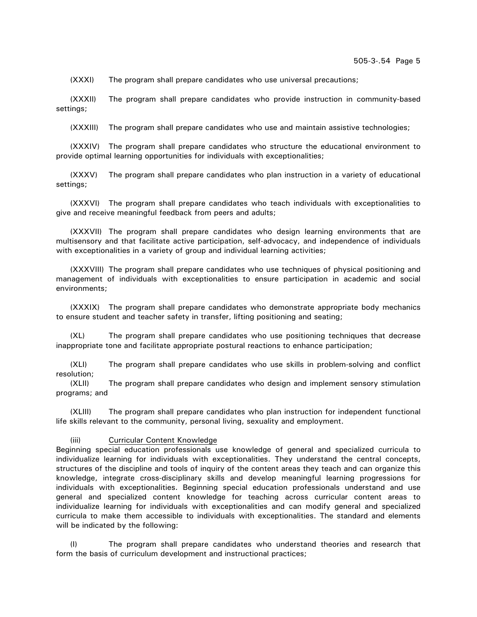(XXXI) The program shall prepare candidates who use universal precautions;

(XXXII) The program shall prepare candidates who provide instruction in community-based settings;

(XXXIII) The program shall prepare candidates who use and maintain assistive technologies;

(XXXIV) The program shall prepare candidates who structure the educational environment to provide optimal learning opportunities for individuals with exceptionalities;

(XXXV) The program shall prepare candidates who plan instruction in a variety of educational settings;

(XXXVI) The program shall prepare candidates who teach individuals with exceptionalities to give and receive meaningful feedback from peers and adults;

(XXXVII) The program shall prepare candidates who design learning environments that are multisensory and that facilitate active participation, self-advocacy, and independence of individuals with exceptionalities in a variety of group and individual learning activities;

(XXXVIII) The program shall prepare candidates who use techniques of physical positioning and management of individuals with exceptionalities to ensure participation in academic and social environments;

(XXXIX) The program shall prepare candidates who demonstrate appropriate body mechanics to ensure student and teacher safety in transfer, lifting positioning and seating;

(XL) The program shall prepare candidates who use positioning techniques that decrease inappropriate tone and facilitate appropriate postural reactions to enhance participation;

(XLI) The program shall prepare candidates who use skills in problem-solving and conflict resolution;

(XLII) The program shall prepare candidates who design and implement sensory stimulation programs; and

(XLIII) The program shall prepare candidates who plan instruction for independent functional life skills relevant to the community, personal living, sexuality and employment.

## (iii) Curricular Content Knowledge

Beginning special education professionals use knowledge of general and specialized curricula to individualize learning for individuals with exceptionalities. They understand the central concepts, structures of the discipline and tools of inquiry of the content areas they teach and can organize this knowledge, integrate cross-disciplinary skills and develop meaningful learning progressions for individuals with exceptionalities. Beginning special education professionals understand and use general and specialized content knowledge for teaching across curricular content areas to individualize learning for individuals with exceptionalities and can modify general and specialized curricula to make them accessible to individuals with exceptionalities. The standard and elements will be indicated by the following:

(I) The program shall prepare candidates who understand theories and research that form the basis of curriculum development and instructional practices;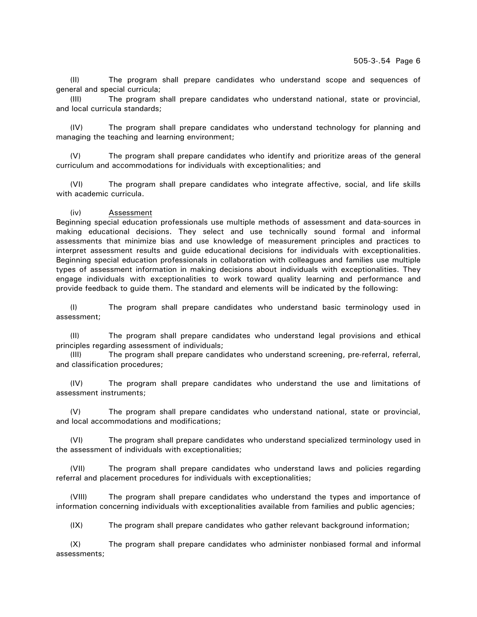(II) The program shall prepare candidates who understand scope and sequences of general and special curricula;

(III) The program shall prepare candidates who understand national, state or provincial, and local curricula standards;

(IV) The program shall prepare candidates who understand technology for planning and managing the teaching and learning environment;

(V) The program shall prepare candidates who identify and prioritize areas of the general curriculum and accommodations for individuals with exceptionalities; and

(VI) The program shall prepare candidates who integrate affective, social, and life skills with academic curricula.

### (iv) Assessment

Beginning special education professionals use multiple methods of assessment and data-sources in making educational decisions. They select and use technically sound formal and informal assessments that minimize bias and use knowledge of measurement principles and practices to interpret assessment results and guide educational decisions for individuals with exceptionalities. Beginning special education professionals in collaboration with colleagues and families use multiple types of assessment information in making decisions about individuals with exceptionalities. They engage individuals with exceptionalities to work toward quality learning and performance and provide feedback to guide them. The standard and elements will be indicated by the following:

(I) The program shall prepare candidates who understand basic terminology used in assessment;

(II) The program shall prepare candidates who understand legal provisions and ethical principles regarding assessment of individuals;

(III) The program shall prepare candidates who understand screening, pre-referral, referral, and classification procedures;

(IV) The program shall prepare candidates who understand the use and limitations of assessment instruments;

(V) The program shall prepare candidates who understand national, state or provincial, and local accommodations and modifications;

(VI) The program shall prepare candidates who understand specialized terminology used in the assessment of individuals with exceptionalities;

(VII) The program shall prepare candidates who understand laws and policies regarding referral and placement procedures for individuals with exceptionalities;

(VIII) The program shall prepare candidates who understand the types and importance of information concerning individuals with exceptionalities available from families and public agencies;

(IX) The program shall prepare candidates who gather relevant background information;

(X) The program shall prepare candidates who administer nonbiased formal and informal assessments;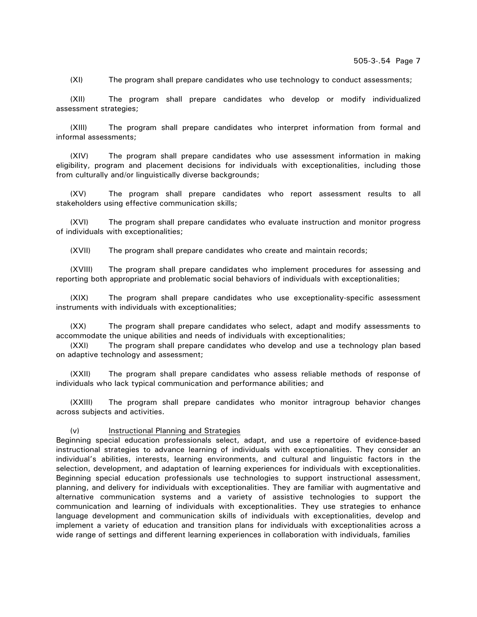(XI) The program shall prepare candidates who use technology to conduct assessments;

(XII) The program shall prepare candidates who develop or modify individualized assessment strategies;

(XIII) The program shall prepare candidates who interpret information from formal and informal assessments;

(XIV) The program shall prepare candidates who use assessment information in making eligibility, program and placement decisions for individuals with exceptionalities, including those from culturally and/or linguistically diverse backgrounds;

(XV) The program shall prepare candidates who report assessment results to all stakeholders using effective communication skills;

(XVI) The program shall prepare candidates who evaluate instruction and monitor progress of individuals with exceptionalities;

(XVII) The program shall prepare candidates who create and maintain records;

(XVIII) The program shall prepare candidates who implement procedures for assessing and reporting both appropriate and problematic social behaviors of individuals with exceptionalities;

(XIX) The program shall prepare candidates who use exceptionality-specific assessment instruments with individuals with exceptionalities;

(XX) The program shall prepare candidates who select, adapt and modify assessments to accommodate the unique abilities and needs of individuals with exceptionalities;

(XXI) The program shall prepare candidates who develop and use a technology plan based on adaptive technology and assessment;

(XXII) The program shall prepare candidates who assess reliable methods of response of individuals who lack typical communication and performance abilities; and

(XXIII) The program shall prepare candidates who monitor intragroup behavior changes across subjects and activities.

## (v) Instructional Planning and Strategies

Beginning special education professionals select, adapt, and use a repertoire of evidence-based instructional strategies to advance learning of individuals with exceptionalities. They consider an individual's abilities, interests, learning environments, and cultural and linguistic factors in the selection, development, and adaptation of learning experiences for individuals with exceptionalities. Beginning special education professionals use technologies to support instructional assessment, planning, and delivery for individuals with exceptionalities. They are familiar with augmentative and alternative communication systems and a variety of assistive technologies to support the communication and learning of individuals with exceptionalities. They use strategies to enhance language development and communication skills of individuals with exceptionalities, develop and implement a variety of education and transition plans for individuals with exceptionalities across a wide range of settings and different learning experiences in collaboration with individuals, families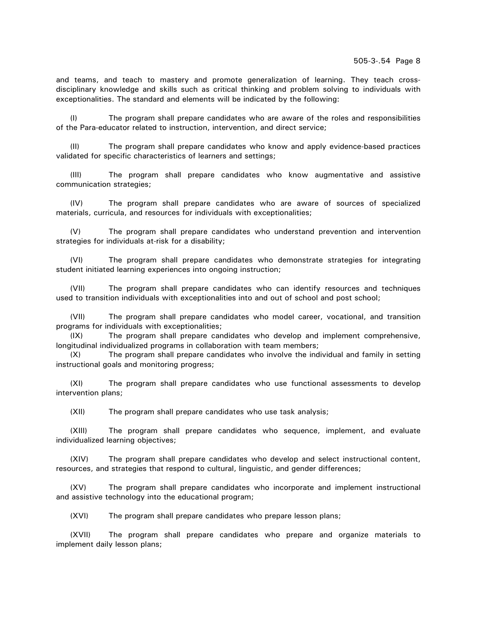and teams, and teach to mastery and promote generalization of learning. They teach crossdisciplinary knowledge and skills such as critical thinking and problem solving to individuals with exceptionalities. The standard and elements will be indicated by the following:

(I) The program shall prepare candidates who are aware of the roles and responsibilities of the Para-educator related to instruction, intervention, and direct service;

(II) The program shall prepare candidates who know and apply evidence-based practices validated for specific characteristics of learners and settings;

(III) The program shall prepare candidates who know augmentative and assistive communication strategies;

(IV) The program shall prepare candidates who are aware of sources of specialized materials, curricula, and resources for individuals with exceptionalities;

(V) The program shall prepare candidates who understand prevention and intervention strategies for individuals at-risk for a disability;

(VI) The program shall prepare candidates who demonstrate strategies for integrating student initiated learning experiences into ongoing instruction;

(VII) The program shall prepare candidates who can identify resources and techniques used to transition individuals with exceptionalities into and out of school and post school;

(VII) The program shall prepare candidates who model career, vocational, and transition programs for individuals with exceptionalities;

(IX) The program shall prepare candidates who develop and implement comprehensive, longitudinal individualized programs in collaboration with team members;

(X) The program shall prepare candidates who involve the individual and family in setting instructional goals and monitoring progress;

(XI) The program shall prepare candidates who use functional assessments to develop intervention plans;

(XII) The program shall prepare candidates who use task analysis;

(XIII) The program shall prepare candidates who sequence, implement, and evaluate individualized learning objectives;

(XIV) The program shall prepare candidates who develop and select instructional content, resources, and strategies that respond to cultural, linguistic, and gender differences;

(XV) The program shall prepare candidates who incorporate and implement instructional and assistive technology into the educational program;

(XVI) The program shall prepare candidates who prepare lesson plans;

(XVII) The program shall prepare candidates who prepare and organize materials to implement daily lesson plans;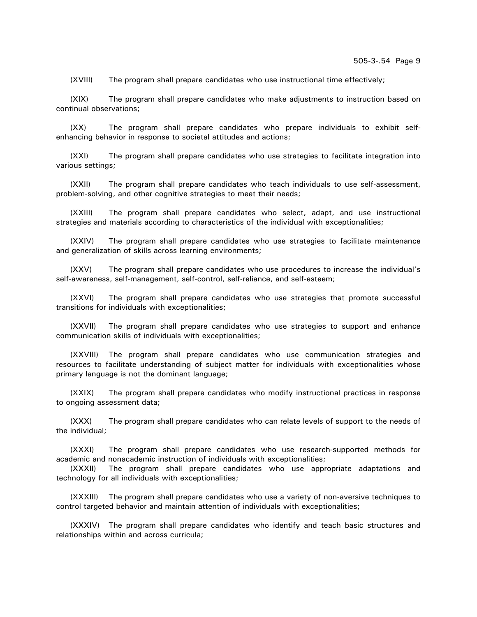(XVIII) The program shall prepare candidates who use instructional time effectively;

(XIX) The program shall prepare candidates who make adjustments to instruction based on continual observations;

(XX) The program shall prepare candidates who prepare individuals to exhibit selfenhancing behavior in response to societal attitudes and actions;

(XXI) The program shall prepare candidates who use strategies to facilitate integration into various settings;

(XXII) The program shall prepare candidates who teach individuals to use self-assessment, problem-solving, and other cognitive strategies to meet their needs;

(XXIII) The program shall prepare candidates who select, adapt, and use instructional strategies and materials according to characteristics of the individual with exceptionalities;

(XXIV) The program shall prepare candidates who use strategies to facilitate maintenance and generalization of skills across learning environments;

(XXV) The program shall prepare candidates who use procedures to increase the individual's self-awareness, self-management, self-control, self-reliance, and self-esteem;

(XXVI) The program shall prepare candidates who use strategies that promote successful transitions for individuals with exceptionalities;

(XXVII) The program shall prepare candidates who use strategies to support and enhance communication skills of individuals with exceptionalities;

(XXVIII) The program shall prepare candidates who use communication strategies and resources to facilitate understanding of subject matter for individuals with exceptionalities whose primary language is not the dominant language;

(XXIX) The program shall prepare candidates who modify instructional practices in response to ongoing assessment data;

(XXX) The program shall prepare candidates who can relate levels of support to the needs of the individual;

(XXXI) The program shall prepare candidates who use research-supported methods for academic and nonacademic instruction of individuals with exceptionalities;

(XXXII) The program shall prepare candidates who use appropriate adaptations and technology for all individuals with exceptionalities;

(XXXIII) The program shall prepare candidates who use a variety of non-aversive techniques to control targeted behavior and maintain attention of individuals with exceptionalities;

(XXXIV) The program shall prepare candidates who identify and teach basic structures and relationships within and across curricula;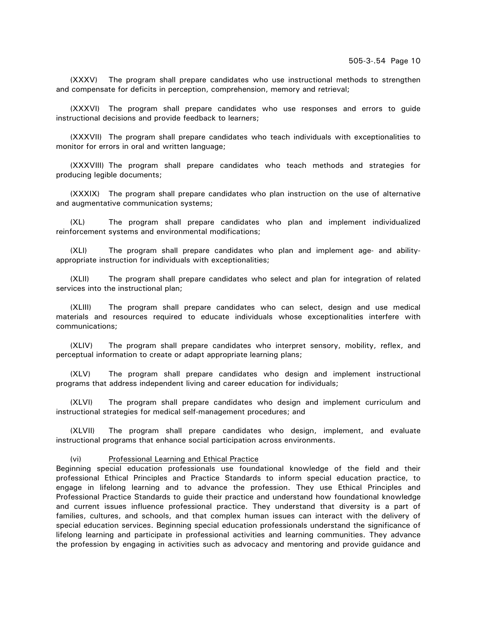(XXXV) The program shall prepare candidates who use instructional methods to strengthen and compensate for deficits in perception, comprehension, memory and retrieval;

(XXXVI) The program shall prepare candidates who use responses and errors to guide instructional decisions and provide feedback to learners;

(XXXVII) The program shall prepare candidates who teach individuals with exceptionalities to monitor for errors in oral and written language;

(XXXVIII) The program shall prepare candidates who teach methods and strategies for producing legible documents;

(XXXIX) The program shall prepare candidates who plan instruction on the use of alternative and augmentative communication systems;

(XL) The program shall prepare candidates who plan and implement individualized reinforcement systems and environmental modifications;

(XLI) The program shall prepare candidates who plan and implement age- and abilityappropriate instruction for individuals with exceptionalities;

(XLII) The program shall prepare candidates who select and plan for integration of related services into the instructional plan;

(XLIII) The program shall prepare candidates who can select, design and use medical materials and resources required to educate individuals whose exceptionalities interfere with communications;

(XLIV) The program shall prepare candidates who interpret sensory, mobility, reflex, and perceptual information to create or adapt appropriate learning plans;

(XLV) The program shall prepare candidates who design and implement instructional programs that address independent living and career education for individuals;

(XLVI) The program shall prepare candidates who design and implement curriculum and instructional strategies for medical self-management procedures; and

(XLVII) The program shall prepare candidates who design, implement, and evaluate instructional programs that enhance social participation across environments.

#### (vi) Professional Learning and Ethical Practice

Beginning special education professionals use foundational knowledge of the field and their professional Ethical Principles and Practice Standards to inform special education practice, to engage in lifelong learning and to advance the profession. They use Ethical Principles and Professional Practice Standards to guide their practice and understand how foundational knowledge and current issues influence professional practice. They understand that diversity is a part of families, cultures, and schools, and that complex human issues can interact with the delivery of special education services. Beginning special education professionals understand the significance of lifelong learning and participate in professional activities and learning communities. They advance the profession by engaging in activities such as advocacy and mentoring and provide guidance and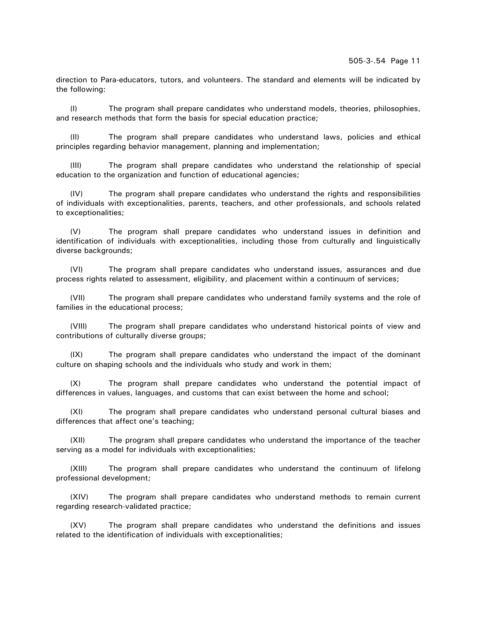direction to Para-educators, tutors, and volunteers. The standard and elements will be indicated by the following:

(I) The program shall prepare candidates who understand models, theories, philosophies, and research methods that form the basis for special education practice;

(II) The program shall prepare candidates who understand laws, policies and ethical principles regarding behavior management, planning and implementation;

(III) The program shall prepare candidates who understand the relationship of special education to the organization and function of educational agencies;

(IV) The program shall prepare candidates who understand the rights and responsibilities of individuals with exceptionalities, parents, teachers, and other professionals, and schools related to exceptionalities;

(V) The program shall prepare candidates who understand issues in definition and identification of individuals with exceptionalities, including those from culturally and linguistically diverse backgrounds;

(VI) The program shall prepare candidates who understand issues, assurances and due process rights related to assessment, eligibility, and placement within a continuum of services;

(VII) The program shall prepare candidates who understand family systems and the role of families in the educational process;

(VIII) The program shall prepare candidates who understand historical points of view and contributions of culturally diverse groups;

(IX) The program shall prepare candidates who understand the impact of the dominant culture on shaping schools and the individuals who study and work in them;

(X) The program shall prepare candidates who understand the potential impact of differences in values, languages, and customs that can exist between the home and school;

(XI) The program shall prepare candidates who understand personal cultural biases and differences that affect one's teaching;

(XII) The program shall prepare candidates who understand the importance of the teacher serving as a model for individuals with exceptionalities;

(XIII) The program shall prepare candidates who understand the continuum of lifelong professional development;

(XIV) The program shall prepare candidates who understand methods to remain current regarding research-validated practice;

(XV) The program shall prepare candidates who understand the definitions and issues related to the identification of individuals with exceptionalities;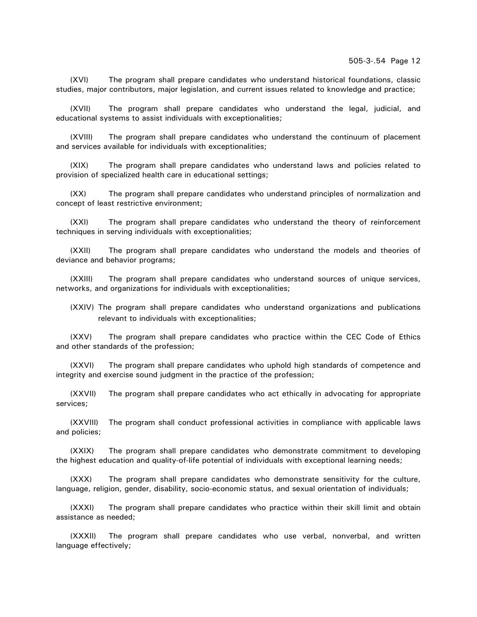(XVI) The program shall prepare candidates who understand historical foundations, classic studies, major contributors, major legislation, and current issues related to knowledge and practice;

(XVII) The program shall prepare candidates who understand the legal, judicial, and educational systems to assist individuals with exceptionalities;

(XVIII) The program shall prepare candidates who understand the continuum of placement and services available for individuals with exceptionalities;

(XIX) The program shall prepare candidates who understand laws and policies related to provision of specialized health care in educational settings;

(XX) The program shall prepare candidates who understand principles of normalization and concept of least restrictive environment;

(XXI) The program shall prepare candidates who understand the theory of reinforcement techniques in serving individuals with exceptionalities;

(XXII) The program shall prepare candidates who understand the models and theories of deviance and behavior programs;

(XXIII) The program shall prepare candidates who understand sources of unique services, networks, and organizations for individuals with exceptionalities;

(XXIV) The program shall prepare candidates who understand organizations and publications relevant to individuals with exceptionalities;

(XXV) The program shall prepare candidates who practice within the CEC Code of Ethics and other standards of the profession;

(XXVI) The program shall prepare candidates who uphold high standards of competence and integrity and exercise sound judgment in the practice of the profession;

(XXVII) The program shall prepare candidates who act ethically in advocating for appropriate services;

(XXVIII) The program shall conduct professional activities in compliance with applicable laws and policies;

(XXIX) The program shall prepare candidates who demonstrate commitment to developing the highest education and quality-of-life potential of individuals with exceptional learning needs;

(XXX) The program shall prepare candidates who demonstrate sensitivity for the culture, language, religion, gender, disability, socio-economic status, and sexual orientation of individuals;

(XXXI) The program shall prepare candidates who practice within their skill limit and obtain assistance as needed;

(XXXII) The program shall prepare candidates who use verbal, nonverbal, and written language effectively;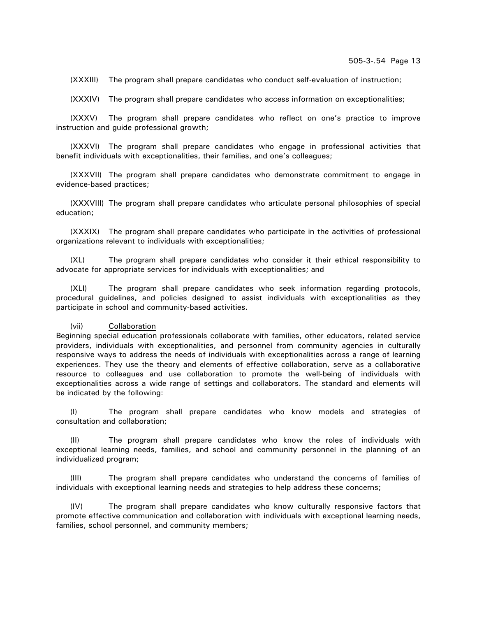(XXXIII) The program shall prepare candidates who conduct self-evaluation of instruction;

(XXXIV) The program shall prepare candidates who access information on exceptionalities;

(XXXV) The program shall prepare candidates who reflect on one's practice to improve instruction and guide professional growth;

(XXXVI) The program shall prepare candidates who engage in professional activities that benefit individuals with exceptionalities, their families, and one's colleagues;

(XXXVII) The program shall prepare candidates who demonstrate commitment to engage in evidence-based practices;

(XXXVIII) The program shall prepare candidates who articulate personal philosophies of special education;

(XXXIX) The program shall prepare candidates who participate in the activities of professional organizations relevant to individuals with exceptionalities;

(XL) The program shall prepare candidates who consider it their ethical responsibility to advocate for appropriate services for individuals with exceptionalities; and

(XLI) The program shall prepare candidates who seek information regarding protocols, procedural guidelines, and policies designed to assist individuals with exceptionalities as they participate in school and community-based activities.

#### (vii) Collaboration

Beginning special education professionals collaborate with families, other educators, related service providers, individuals with exceptionalities, and personnel from community agencies in culturally responsive ways to address the needs of individuals with exceptionalities across a range of learning experiences. They use the theory and elements of effective collaboration, serve as a collaborative resource to colleagues and use collaboration to promote the well-being of individuals with exceptionalities across a wide range of settings and collaborators. The standard and elements will be indicated by the following:

(I) The program shall prepare candidates who know models and strategies of consultation and collaboration;

(II) The program shall prepare candidates who know the roles of individuals with exceptional learning needs, families, and school and community personnel in the planning of an individualized program;

(III) The program shall prepare candidates who understand the concerns of families of individuals with exceptional learning needs and strategies to help address these concerns;

(IV) The program shall prepare candidates who know culturally responsive factors that promote effective communication and collaboration with individuals with exceptional learning needs, families, school personnel, and community members;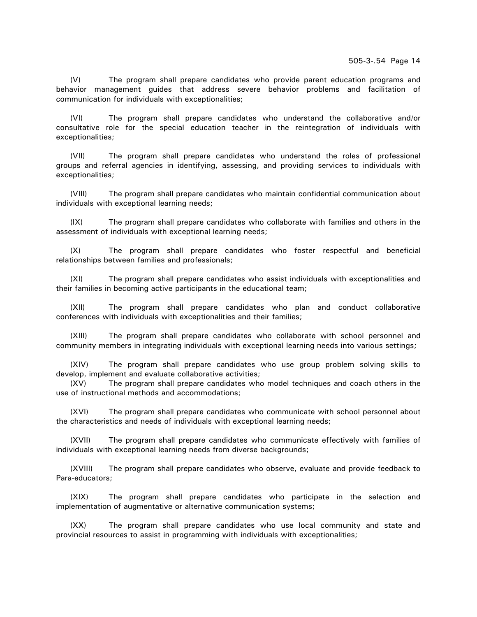(V) The program shall prepare candidates who provide parent education programs and behavior management guides that address severe behavior problems and facilitation of communication for individuals with exceptionalities;

(VI) The program shall prepare candidates who understand the collaborative and/or consultative role for the special education teacher in the reintegration of individuals with exceptionalities;

(VII) The program shall prepare candidates who understand the roles of professional groups and referral agencies in identifying, assessing, and providing services to individuals with exceptionalities;

(VIII) The program shall prepare candidates who maintain confidential communication about individuals with exceptional learning needs;

(IX) The program shall prepare candidates who collaborate with families and others in the assessment of individuals with exceptional learning needs;

(X) The program shall prepare candidates who foster respectful and beneficial relationships between families and professionals;

(XI) The program shall prepare candidates who assist individuals with exceptionalities and their families in becoming active participants in the educational team;

(XII) The program shall prepare candidates who plan and conduct collaborative conferences with individuals with exceptionalities and their families;

(XIII) The program shall prepare candidates who collaborate with school personnel and community members in integrating individuals with exceptional learning needs into various settings;

(XIV) The program shall prepare candidates who use group problem solving skills to develop, implement and evaluate collaborative activities;

(XV) The program shall prepare candidates who model techniques and coach others in the use of instructional methods and accommodations;

(XVI) The program shall prepare candidates who communicate with school personnel about the characteristics and needs of individuals with exceptional learning needs;

(XVII) The program shall prepare candidates who communicate effectively with families of individuals with exceptional learning needs from diverse backgrounds;

(XVIII) The program shall prepare candidates who observe, evaluate and provide feedback to Para-educators;

(XIX) The program shall prepare candidates who participate in the selection and implementation of augmentative or alternative communication systems;

(XX) The program shall prepare candidates who use local community and state and provincial resources to assist in programming with individuals with exceptionalities;